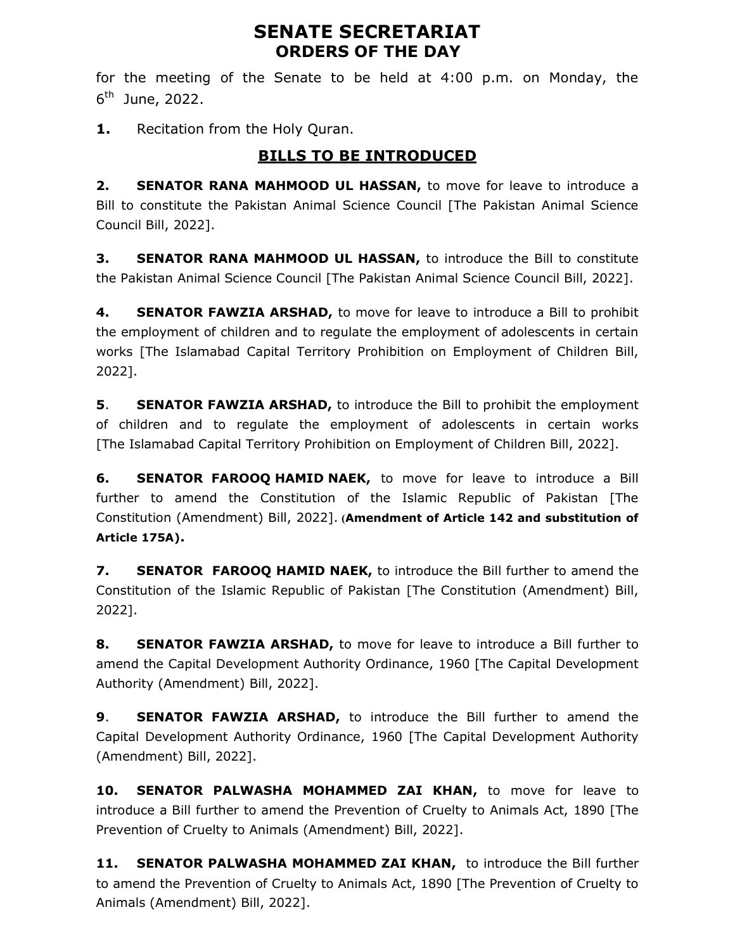# SENATE SECRETARIAT ORDERS OF THE DAY

for the meeting of the Senate to be held at 4:00 p.m. on Monday, the 6<sup>th</sup> June, 2022.

1. Recitation from the Holy Quran.

# BILLS TO BE INTRODUCED

2. SENATOR RANA MAHMOOD UL HASSAN, to move for leave to introduce a Bill to constitute the Pakistan Animal Science Council [The Pakistan Animal Science Council Bill, 2022].

3. SENATOR RANA MAHMOOD UL HASSAN, to introduce the Bill to constitute the Pakistan Animal Science Council [The Pakistan Animal Science Council Bill, 2022].

4. SENATOR FAWZIA ARSHAD, to move for leave to introduce a Bill to prohibit the employment of children and to regulate the employment of adolescents in certain works [The Islamabad Capital Territory Prohibition on Employment of Children Bill, 2022].

**5.** SENATOR FAWZIA ARSHAD, to introduce the Bill to prohibit the employment of children and to regulate the employment of adolescents in certain works [The Islamabad Capital Territory Prohibition on Employment of Children Bill, 2022].

**6. SENATOR FAROOQ HAMID NAEK,** to move for leave to introduce a Bill further to amend the Constitution of the Islamic Republic of Pakistan [The Constitution (Amendment) Bill, 2022]. (Amendment of Article 142 and substitution of Article 175A).

7. SENATOR FAROOQ HAMID NAEK, to introduce the Bill further to amend the Constitution of the Islamic Republic of Pakistan [The Constitution (Amendment) Bill, 2022].

8. SENATOR FAWZIA ARSHAD, to move for leave to introduce a Bill further to amend the Capital Development Authority Ordinance, 1960 [The Capital Development Authority (Amendment) Bill, 2022].

9. **SENATOR FAWZIA ARSHAD,** to introduce the Bill further to amend the Capital Development Authority Ordinance, 1960 [The Capital Development Authority (Amendment) Bill, 2022].

10. SENATOR PALWASHA MOHAMMED ZAI KHAN, to move for leave to introduce a Bill further to amend the Prevention of Cruelty to Animals Act, 1890 [The Prevention of Cruelty to Animals (Amendment) Bill, 2022].

11. SENATOR PALWASHA MOHAMMED ZAI KHAN, to introduce the Bill further to amend the Prevention of Cruelty to Animals Act, 1890 [The Prevention of Cruelty to Animals (Amendment) Bill, 2022].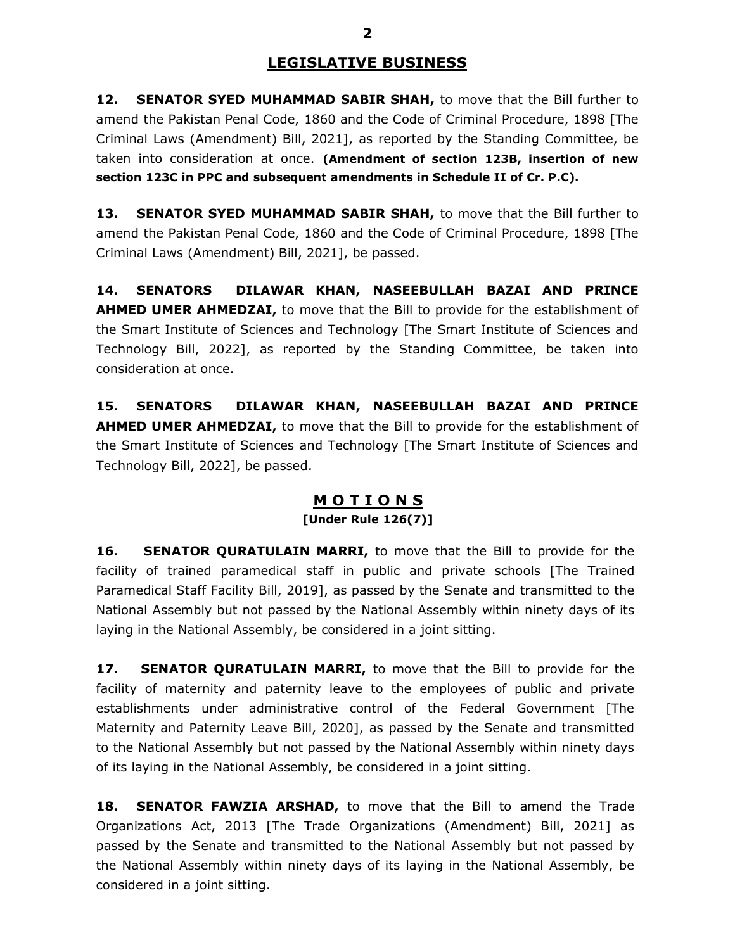#### LEGISLATIVE BUSINESS

12. SENATOR SYED MUHAMMAD SABIR SHAH, to move that the Bill further to amend the Pakistan Penal Code, 1860 and the Code of Criminal Procedure, 1898 [The Criminal Laws (Amendment) Bill, 2021], as reported by the Standing Committee, be taken into consideration at once. (Amendment of section 123B, insertion of new section 123C in PPC and subsequent amendments in Schedule II of Cr. P.C).

13. SENATOR SYED MUHAMMAD SABIR SHAH, to move that the Bill further to amend the Pakistan Penal Code, 1860 and the Code of Criminal Procedure, 1898 [The Criminal Laws (Amendment) Bill, 2021], be passed.

14. SENATORS DILAWAR KHAN, NASEEBULLAH BAZAI AND PRINCE AHMED UMER AHMEDZAI, to move that the Bill to provide for the establishment of the Smart Institute of Sciences and Technology [The Smart Institute of Sciences and Technology Bill, 2022], as reported by the Standing Committee, be taken into consideration at once.

15. SENATORS DILAWAR KHAN, NASEEBULLAH BAZAI AND PRINCE **AHMED UMER AHMEDZAI,** to move that the Bill to provide for the establishment of the Smart Institute of Sciences and Technology [The Smart Institute of Sciences and Technology Bill, 2022], be passed.

#### M O T I O N S [Under Rule 126(7)]

**16.** SENATOR QURATULAIN MARRI, to move that the Bill to provide for the facility of trained paramedical staff in public and private schools [The Trained Paramedical Staff Facility Bill, 2019], as passed by the Senate and transmitted to the National Assembly but not passed by the National Assembly within ninety days of its laying in the National Assembly, be considered in a joint sitting.

17. SENATOR QURATULAIN MARRI, to move that the Bill to provide for the facility of maternity and paternity leave to the employees of public and private establishments under administrative control of the Federal Government [The Maternity and Paternity Leave Bill, 2020], as passed by the Senate and transmitted to the National Assembly but not passed by the National Assembly within ninety days of its laying in the National Assembly, be considered in a joint sitting.

18. SENATOR FAWZIA ARSHAD, to move that the Bill to amend the Trade Organizations Act, 2013 [The Trade Organizations (Amendment) Bill, 2021] as passed by the Senate and transmitted to the National Assembly but not passed by the National Assembly within ninety days of its laying in the National Assembly, be considered in a joint sitting.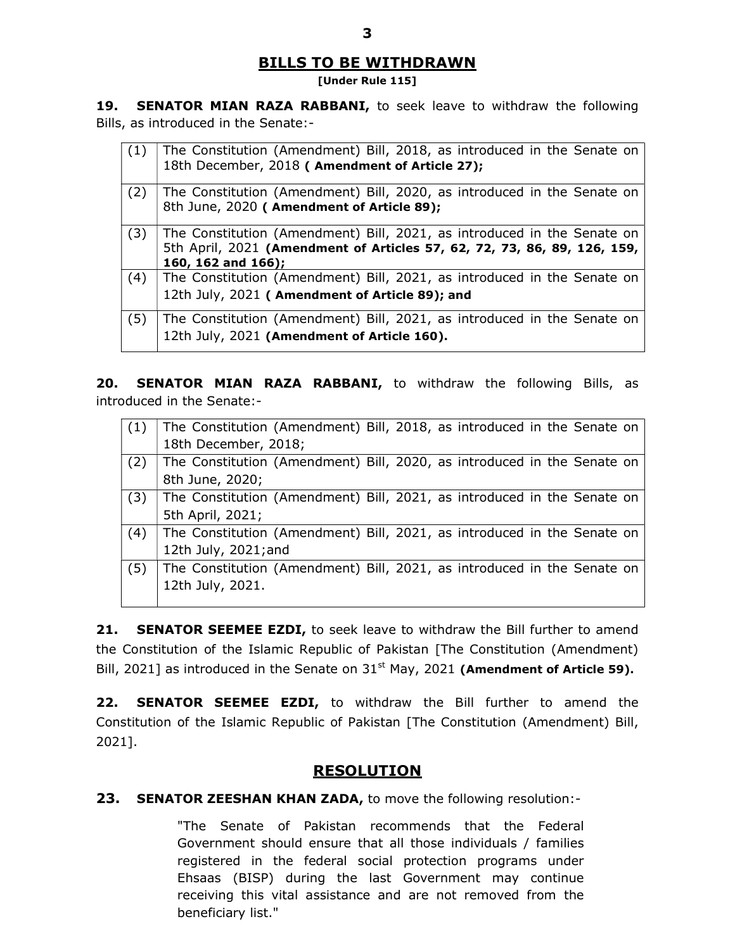#### BILLS TO BE WITHDRAWN

#### [Under Rule 115]

19. SENATOR MIAN RAZA RABBANI, to seek leave to withdraw the following Bills, as introduced in the Senate:-

| (1) | The Constitution (Amendment) Bill, 2018, as introduced in the Senate on<br>18th December, 2018 (Amendment of Article 27);                                                    |
|-----|------------------------------------------------------------------------------------------------------------------------------------------------------------------------------|
| (2) | The Constitution (Amendment) Bill, 2020, as introduced in the Senate on<br>8th June, 2020 (Amendment of Article 89);                                                         |
| (3) | The Constitution (Amendment) Bill, 2021, as introduced in the Senate on<br>5th April, 2021 (Amendment of Articles 57, 62, 72, 73, 86, 89, 126, 159,<br>160, 162 and $166$ ); |
| (4) | The Constitution (Amendment) Bill, 2021, as introduced in the Senate on<br>12th July, 2021 (Amendment of Article 89); and                                                    |
| (5) | The Constitution (Amendment) Bill, 2021, as introduced in the Senate on<br>12th July, 2021 (Amendment of Article 160).                                                       |

20. SENATOR MIAN RAZA RABBANI, to withdraw the following Bills, as introduced in the Senate:-

| (1) | The Constitution (Amendment) Bill, 2018, as introduced in the Senate on |
|-----|-------------------------------------------------------------------------|
|     | 18th December, 2018;                                                    |
| (2) | The Constitution (Amendment) Bill, 2020, as introduced in the Senate on |
|     | 8th June, 2020;                                                         |
| (3) | The Constitution (Amendment) Bill, 2021, as introduced in the Senate on |
|     | 5th April, 2021;                                                        |
| (4) | The Constitution (Amendment) Bill, 2021, as introduced in the Senate on |
|     | 12th July, 2021; and                                                    |
| (5) | The Constitution (Amendment) Bill, 2021, as introduced in the Senate on |
|     | 12th July, 2021.                                                        |
|     |                                                                         |

21. SENATOR SEEMEE EZDI, to seek leave to withdraw the Bill further to amend the Constitution of the Islamic Republic of Pakistan [The Constitution (Amendment) Bill, 2021] as introduced in the Senate on  $31<sup>st</sup>$  May, 2021 (Amendment of Article 59).

22. SENATOR SEEMEE EZDI, to withdraw the Bill further to amend the Constitution of the Islamic Republic of Pakistan [The Constitution (Amendment) Bill, 2021].

# **RESOLUTION**

23. SENATOR ZEESHAN KHAN ZADA, to move the following resolution:-

"The Senate of Pakistan recommends that the Federal Government should ensure that all those individuals / families registered in the federal social protection programs under Ehsaas (BISP) during the last Government may continue receiving this vital assistance and are not removed from the beneficiary list."